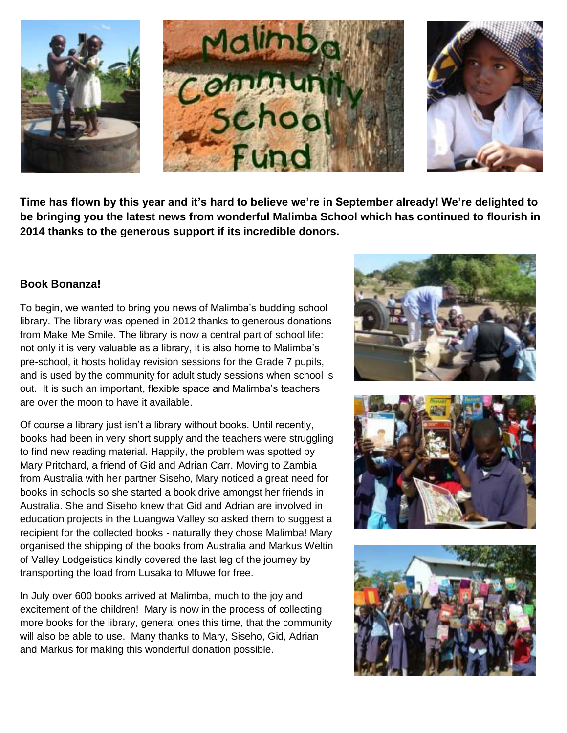

**Time has flown by this year and it's hard to believe we're in September already! We're delighted to be bringing you the latest news from wonderful Malimba School which has continued to flourish in 2014 thanks to the generous support if its incredible donors.**

## **Book Bonanza!**

To begin, we wanted to bring you news of Malimba's budding school library. The library was opened in 2012 thanks to generous donations from Make Me Smile. The library is now a central part of school life: not only it is very valuable as a library, it is also home to Malimba's pre-school, it hosts holiday revision sessions for the Grade 7 pupils, and is used by the community for adult study sessions when school is out. It is such an important, flexible space and Malimba's teachers are over the moon to have it available.

Of course a library just isn't a library without books. Until recently, books had been in very short supply and the teachers were struggling to find new reading material. Happily, the problem was spotted by Mary Pritchard, a friend of Gid and Adrian Carr. Moving to Zambia from Australia with her partner Siseho, Mary noticed a great need for books in schools so she started a book drive amongst her friends in Australia. She and Siseho knew that Gid and Adrian are involved in education projects in the Luangwa Valley so asked them to suggest a recipient for the collected books - naturally they chose Malimba! Mary organised the shipping of the books from Australia and Markus Weltin of Valley Lodgeistics kindly covered the last leg of the journey by transporting the load from Lusaka to Mfuwe for free.

In July over 600 books arrived at Malimba, much to the joy and excitement of the children! Mary is now in the process of collecting more books for the library, general ones this time, that the community will also be able to use. Many thanks to Mary, Siseho, Gid, Adrian and Markus for making this wonderful donation possible.





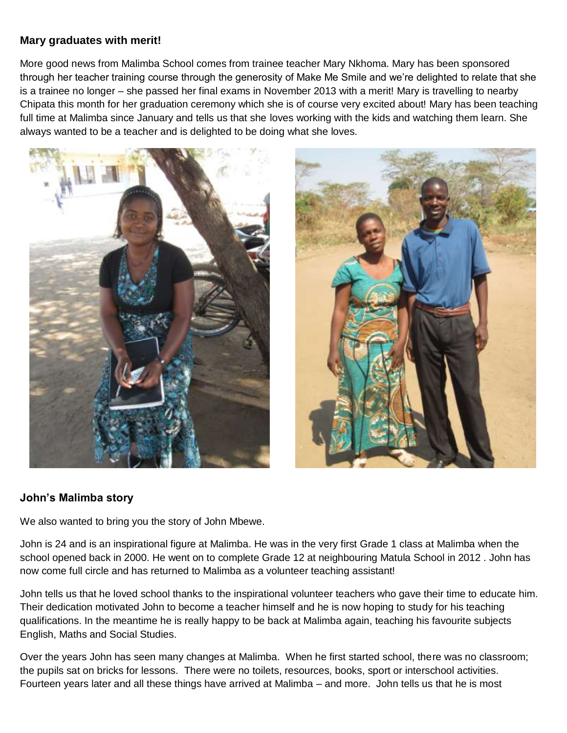### **Mary graduates with merit!**

More good news from Malimba School comes from trainee teacher Mary Nkhoma. Mary has been sponsored through her teacher training course through the generosity of Make Me Smile and we're delighted to relate that she is a trainee no longer – she passed her final exams in November 2013 with a merit! Mary is travelling to nearby Chipata this month for her graduation ceremony which she is of course very excited about! Mary has been teaching full time at Malimba since January and tells us that she loves working with the kids and watching them learn. She always wanted to be a teacher and is delighted to be doing what she loves.





## **John's Malimba story**

We also wanted to bring you the story of John Mbewe.

John is 24 and is an inspirational figure at Malimba. He was in the very first Grade 1 class at Malimba when the school opened back in 2000. He went on to complete Grade 12 at neighbouring Matula School in 2012 . John has now come full circle and has returned to Malimba as a volunteer teaching assistant!

John tells us that he loved school thanks to the inspirational volunteer teachers who gave their time to educate him. Their dedication motivated John to become a teacher himself and he is now hoping to study for his teaching qualifications. In the meantime he is really happy to be back at Malimba again, teaching his favourite subjects English, Maths and Social Studies.

Over the years John has seen many changes at Malimba. When he first started school, there was no classroom; the pupils sat on bricks for lessons. There were no toilets, resources, books, sport or interschool activities. Fourteen years later and all these things have arrived at Malimba – and more. John tells us that he is most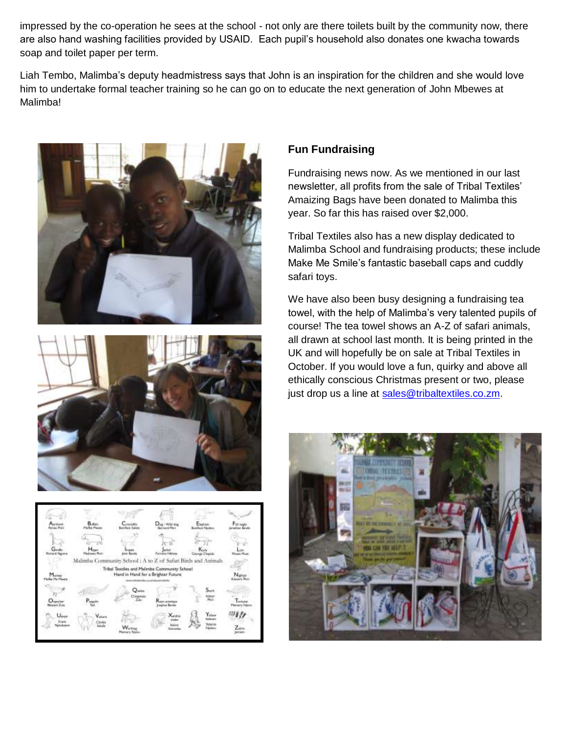impressed by the co-operation he sees at the school - not only are there toilets built by the community now, there are also hand washing facilities provided by USAID. Each pupil's household also donates one kwacha towards soap and toilet paper per term.

Liah Tembo, Malimba's deputy headmistress says that John is an inspiration for the children and she would love him to undertake formal teacher training so he can go on to educate the next generation of John Mbewes at Malimba!







## **Fun Fundraising**

Fundraising news now. As we mentioned in our last newsletter, all profits from the sale of Tribal Textiles' Amaizing Bags have been donated to Malimba this year. So far this has raised over \$2,000.

Tribal Textiles also has a new display dedicated to Malimba School and fundraising products; these include Make Me Smile's fantastic baseball caps and cuddly safari toys.

We have also been busy designing a fundraising tea towel, with the help of Malimba's very talented pupils of course! The tea towel shows an A-Z of safari animals, all drawn at school last month. It is being printed in the UK and will hopefully be on sale at Tribal Textiles in October. If you would love a fun, quirky and above all ethically conscious Christmas present or two, please just drop us a line at [sales@tribaltextiles.co.zm.](mailto:sales@tribaltextiles.co.zm)